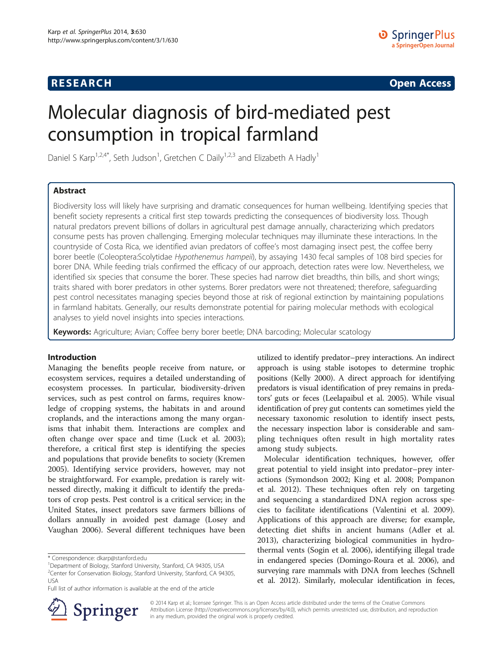# **RESEARCH CHE Open Access**

# Molecular diagnosis of bird-mediated pest consumption in tropical farmland

Daniel S Karp<sup>1,2,4\*</sup>, Seth Judson<sup>1</sup>, Gretchen C Daily<sup>1,2,3</sup> and Elizabeth A Hadly<sup>1</sup>

# Abstract

Biodiversity loss will likely have surprising and dramatic consequences for human wellbeing. Identifying species that benefit society represents a critical first step towards predicting the consequences of biodiversity loss. Though natural predators prevent billions of dollars in agricultural pest damage annually, characterizing which predators consume pests has proven challenging. Emerging molecular techniques may illuminate these interactions. In the countryside of Costa Rica, we identified avian predators of coffee's most damaging insect pest, the coffee berry borer beetle (Coleoptera:Scolytidae Hypothenemus hampeii), by assaying 1430 fecal samples of 108 bird species for borer DNA. While feeding trials confirmed the efficacy of our approach, detection rates were low. Nevertheless, we identified six species that consume the borer. These species had narrow diet breadths, thin bills, and short wings; traits shared with borer predators in other systems. Borer predators were not threatened; therefore, safeguarding pest control necessitates managing species beyond those at risk of regional extinction by maintaining populations in farmland habitats. Generally, our results demonstrate potential for pairing molecular methods with ecological analyses to yield novel insights into species interactions.

Keywords: Agriculture; Avian; Coffee berry borer beetle; DNA barcoding; Molecular scatology

# Introduction

Managing the benefits people receive from nature, or ecosystem services, requires a detailed understanding of ecosystem processes. In particular, biodiversity-driven services, such as pest control on farms, requires knowledge of cropping systems, the habitats in and around croplands, and the interactions among the many organisms that inhabit them. Interactions are complex and often change over space and time (Luck et al. [2003](#page-7-0)); therefore, a critical first step is identifying the species and populations that provide benefits to society (Kremen [2005](#page-7-0)). Identifying service providers, however, may not be straightforward. For example, predation is rarely witnessed directly, making it difficult to identify the predators of crop pests. Pest control is a critical service; in the United States, insect predators save farmers billions of dollars annually in avoided pest damage (Losey and Vaughan [2006\)](#page-7-0). Several different techniques have been

utilized to identify predator–prey interactions. An indirect approach is using stable isotopes to determine trophic positions (Kelly [2000](#page-7-0)). A direct approach for identifying predators is visual identification of prey remains in predators' guts or feces (Leelapaibul et al. [2005](#page-7-0)). While visual identification of prey gut contents can sometimes yield the necessary taxonomic resolution to identify insect pests, the necessary inspection labor is considerable and sampling techniques often result in high mortality rates among study subjects.

Molecular identification techniques, however, offer great potential to yield insight into predator–prey interactions (Symondson [2002;](#page-7-0) King et al. [2008;](#page-7-0) Pompanon et al. [2012](#page-7-0)). These techniques often rely on targeting and sequencing a standardized DNA region across species to facilitate identifications (Valentini et al. [2009](#page-7-0)). Applications of this approach are diverse; for example, detecting diet shifts in ancient humans (Adler et al. [2013](#page-6-0)), characterizing biological communities in hydrothermal vents (Sogin et al. [2006\)](#page-7-0), identifying illegal trade in endangered species (Domingo-Roura et al. [2006](#page-6-0)), and surveying rare mammals with DNA from leeches (Schnell et al. [2012](#page-7-0)). Similarly, molecular identification in feces,



© 2014 Karp et al.; licensee Springer. This is an Open Access article distributed under the terms of the Creative Commons Attribution License [\(http://creativecommons.org/licenses/by/4.0\)](http://creativecommons.org/licenses/by/4.0), which permits unrestricted use, distribution, and reproduction in any medium, provided the original work is properly credited.

<sup>\*</sup> Correspondence: [dkarp@stanford.edu](mailto:dkarp@stanford.edu) <sup>1</sup>

<sup>&</sup>lt;sup>1</sup>Department of Biology, Stanford University, Stanford, CA 94305, USA <sup>2</sup> Center for Conservation Biology, Stanford University, Stanford, CA 94305, USA

Full list of author information is available at the end of the article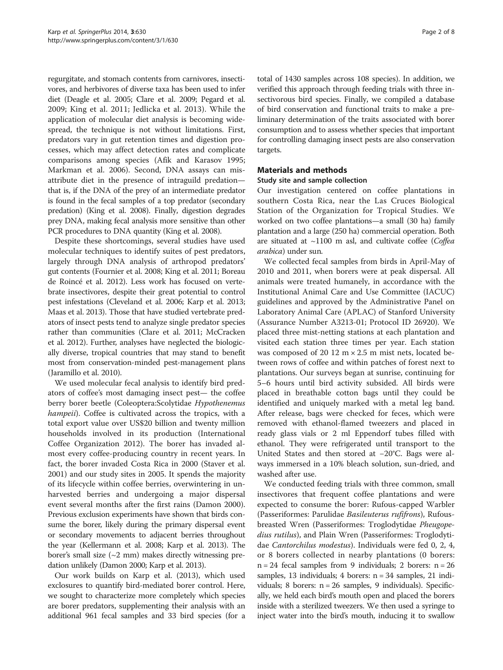regurgitate, and stomach contents from carnivores, insectivores, and herbivores of diverse taxa has been used to infer diet (Deagle et al. [2005;](#page-6-0) Clare et al. [2009](#page-6-0); Pegard et al. [2009;](#page-7-0) King et al. [2011](#page-7-0); Jedlicka et al. [2013\)](#page-7-0). While the application of molecular diet analysis is becoming widespread, the technique is not without limitations. First, predators vary in gut retention times and digestion processes, which may affect detection rates and complicate comparisons among species (Afik and Karasov [1995](#page-6-0); Markman et al. [2006\)](#page-7-0). Second, DNA assays can misattribute diet in the presence of intraguild predation that is, if the DNA of the prey of an intermediate predator is found in the fecal samples of a top predator (secondary predation) (King et al. [2008](#page-7-0)). Finally, digestion degrades prey DNA, making fecal analysis more sensitive than other PCR procedures to DNA quantity (King et al. [2008\)](#page-7-0).

Despite these shortcomings, several studies have used molecular techniques to identify suites of pest predators, largely through DNA analysis of arthropod predators' gut contents (Fournier et al. [2008](#page-6-0); King et al. [2011;](#page-7-0) Boreau de Roincé et al. [2012\)](#page-6-0). Less work has focused on vertebrate insectivores, despite their great potential to control pest infestations (Cleveland et al. [2006;](#page-6-0) Karp et al. [2013](#page-7-0); Maas et al. [2013](#page-7-0)). Those that have studied vertebrate predators of insect pests tend to analyze single predator species rather than communities (Clare et al. [2011](#page-6-0); McCracken et al. [2012\)](#page-7-0). Further, analyses have neglected the biologically diverse, tropical countries that may stand to benefit most from conservation-minded pest-management plans (Jaramillo et al. [2010](#page-6-0)).

We used molecular fecal analysis to identify bird predators of coffee's most damaging insect pest— the coffee berry borer beetle (Coleoptera:Scolytidae Hypothenemus hampeii). Coffee is cultivated across the tropics, with a total export value over US\$20 billion and twenty million households involved in its production (International Coffee Organization [2012](#page-6-0)). The borer has invaded almost every coffee-producing country in recent years. In fact, the borer invaded Costa Rica in 2000 (Staver et al. [2001](#page-7-0)) and our study sites in 2005. It spends the majority of its lifecycle within coffee berries, overwintering in unharvested berries and undergoing a major dispersal event several months after the first rains (Damon [2000](#page-6-0)). Previous exclusion experiments have shown that birds consume the borer, likely during the primary dispersal event or secondary movements to adjacent berries throughout the year (Kellermann et al. [2008](#page-7-0); Karp et al. [2013](#page-7-0)). The borer's small size  $(\sim 2 \text{ mm})$  makes directly witnessing predation unlikely (Damon [2000](#page-6-0); Karp et al. [2013\)](#page-7-0).

Our work builds on Karp et al. [\(2013\)](#page-7-0), which used exclosures to quantify bird-mediated borer control. Here, we sought to characterize more completely which species are borer predators, supplementing their analysis with an additional 961 fecal samples and 33 bird species (for a

total of 1430 samples across 108 species). In addition, we verified this approach through feeding trials with three insectivorous bird species. Finally, we compiled a database of bird conservation and functional traits to make a preliminary determination of the traits associated with borer consumption and to assess whether species that important for controlling damaging insect pests are also conservation targets.

# Materials and methods

# Study site and sample collection

Our investigation centered on coffee plantations in southern Costa Rica, near the Las Cruces Biological Station of the Organization for Tropical Studies. We worked on two coffee plantations—a small (30 ha) family plantation and a large (250 ha) commercial operation. Both are situated at  $\sim$ 1100 m asl, and cultivate coffee (Coffea arabica) under sun.

We collected fecal samples from birds in April-May of 2010 and 2011, when borers were at peak dispersal. All animals were treated humanely, in accordance with the Institutional Animal Care and Use Committee (IACUC) guidelines and approved by the Administrative Panel on Laboratory Animal Care (APLAC) of Stanford University (Assurance Number A3213-01; Protocol ID 26920). We placed three mist-netting stations at each plantation and visited each station three times per year. Each station was composed of 20 12  $m \times 2.5$  m mist nets, located between rows of coffee and within patches of forest next to plantations. Our surveys began at sunrise, continuing for 5–6 hours until bird activity subsided. All birds were placed in breathable cotton bags until they could be identified and uniquely marked with a metal leg band. After release, bags were checked for feces, which were removed with ethanol-flamed tweezers and placed in ready glass vials or 2 ml Eppendorf tubes filled with ethanol. They were refrigerated until transport to the United States and then stored at −20°C. Bags were always immersed in a 10% bleach solution, sun-dried, and washed after use.

We conducted feeding trials with three common, small insectivores that frequent coffee plantations and were expected to consume the borer: Rufous-capped Warbler (Passeriformes: Parulidae Basileuterus rufifrons), Rufousbreasted Wren (Passeriformes: Troglodytidae Pheugopedius rutilus), and Plain Wren (Passeriformes: Troglodytidae Cantorchilus modestus). Individuals were fed 0, 2, 4, or 8 borers collected in nearby plantations (0 borers:  $n = 24$  fecal samples from 9 individuals; 2 borers:  $n = 26$ samples, 13 individuals; 4 borers:  $n = 34$  samples, 21 individuals; 8 borers: n = 26 samples, 9 individuals). Specifically, we held each bird's mouth open and placed the borers inside with a sterilized tweezers. We then used a syringe to inject water into the bird's mouth, inducing it to swallow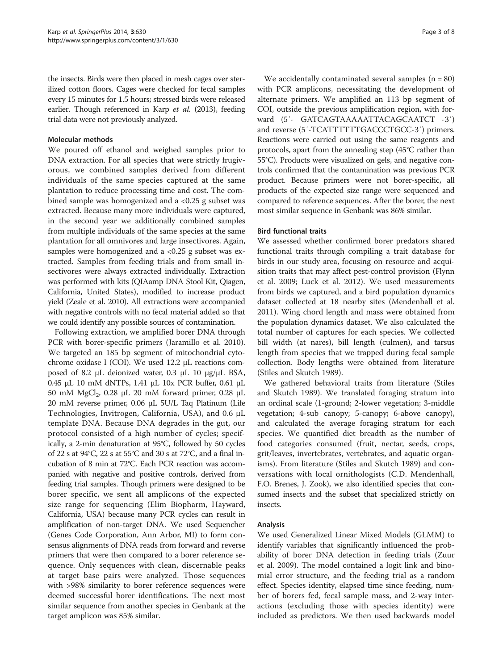the insects. Birds were then placed in mesh cages over sterilized cotton floors. Cages were checked for fecal samples every 15 minutes for 1.5 hours; stressed birds were released earlier. Though referenced in Karp et al. [\(2013](#page-7-0)), feeding trial data were not previously analyzed.

#### Molecular methods

We poured off ethanol and weighed samples prior to DNA extraction. For all species that were strictly frugivorous, we combined samples derived from different individuals of the same species captured at the same plantation to reduce processing time and cost. The combined sample was homogenized and a  $< 0.25$  g subset was extracted. Because many more individuals were captured, in the second year we additionally combined samples from multiple individuals of the same species at the same plantation for all omnivores and large insectivores. Again, samples were homogenized and a <0.25 g subset was extracted. Samples from feeding trials and from small insectivores were always extracted individually. Extraction was performed with kits (QIAamp DNA Stool Kit, Qiagen, California, United States), modified to increase product yield (Zeale et al. [2010\)](#page-7-0). All extractions were accompanied with negative controls with no fecal material added so that we could identify any possible sources of contamination.

Following extraction, we amplified borer DNA through PCR with borer-specific primers (Jaramillo et al. [2010](#page-6-0)). We targeted an 185 bp segment of mitochondrial cytochrome oxidase I (COI). We used 12.2 μL reactions composed of 8.2 μL deionized water, 0.3 μL 10 μg/μL BSA, 0.45 μL 10 mM dNTPs, 1.41 μL 10x PCR buffer, 0.61 μL 50 mM MgCl<sub>2</sub>, 0.28 μL 20 mM forward primer, 0.28 μL 20 mM reverse primer, 0.06 μL 5U/L Taq Platinum (Life Technologies, Invitrogen, California, USA), and 0.6 μL template DNA. Because DNA degrades in the gut, our protocol consisted of a high number of cycles; specifically, a 2-min denaturation at 95°C, followed by 50 cycles of 22 s at 94°C, 22 s at 55°C and 30 s at 72°C, and a final incubation of 8 min at 72°C. Each PCR reaction was accompanied with negative and positive controls, derived from feeding trial samples. Though primers were designed to be borer specific, we sent all amplicons of the expected size range for sequencing (Elim Biopharm, Hayward, California, USA) because many PCR cycles can result in amplification of non-target DNA. We used Sequencher (Genes Code Corporation, Ann Arbor, MI) to form consensus alignments of DNA reads from forward and reverse primers that were then compared to a borer reference sequence. Only sequences with clean, discernable peaks at target base pairs were analyzed. Those sequences with >98% similarity to borer reference sequences were deemed successful borer identifications. The next most similar sequence from another species in Genbank at the target amplicon was 85% similar.

We accidentally contaminated several samples  $(n = 80)$ with PCR amplicons, necessitating the development of alternate primers. We amplified an 113 bp segment of COI, outside the previous amplification region, with forward (5′- GATCAGTAAAAATTACAGCAATCT -3′) and reverse (5′-TCATTTTTTGACCCTGCC-3′) primers. Reactions were carried out using the same reagents and protocols, apart from the annealing step (45°C rather than 55°C). Products were visualized on gels, and negative controls confirmed that the contamination was previous PCR product. Because primers were not borer-specific, all products of the expected size range were sequenced and compared to reference sequences. After the borer, the next most similar sequence in Genbank was 86% similar.

#### Bird functional traits

We assessed whether confirmed borer predators shared functional traits through compiling a trait database for birds in our study area, focusing on resource and acquisition traits that may affect pest-control provision (Flynn et al. [2009](#page-6-0); Luck et al. [2012](#page-7-0)). We used measurements from birds we captured, and a bird population dynamics dataset collected at 18 nearby sites (Mendenhall et al. [2011](#page-7-0)). Wing chord length and mass were obtained from the population dynamics dataset. We also calculated the total number of captures for each species. We collected bill width (at nares), bill length (culmen), and tarsus length from species that we trapped during fecal sample collection. Body lengths were obtained from literature (Stiles and Skutch [1989\)](#page-7-0).

We gathered behavioral traits from literature (Stiles and Skutch [1989](#page-7-0)). We translated foraging stratum into an ordinal scale (1-ground; 2-lower vegetation; 3-middle vegetation; 4-sub canopy; 5-canopy; 6-above canopy), and calculated the average foraging stratum for each species. We quantified diet breadth as the number of food categories consumed (fruit, nectar, seeds, crops, grit/leaves, invertebrates, vertebrates, and aquatic organisms). From literature (Stiles and Skutch [1989](#page-7-0)) and conversations with local ornithologists (C.D. Mendenhall, F.O. Brenes, J. Zook), we also identified species that consumed insects and the subset that specialized strictly on insects.

# Analysis

We used Generalized Linear Mixed Models (GLMM) to identify variables that significantly influenced the probability of borer DNA detection in feeding trials (Zuur et al. [2009](#page-7-0)). The model contained a logit link and binomial error structure, and the feeding trial as a random effect. Species identity, elapsed time since feeding, number of borers fed, fecal sample mass, and 2-way interactions (excluding those with species identity) were included as predictors. We then used backwards model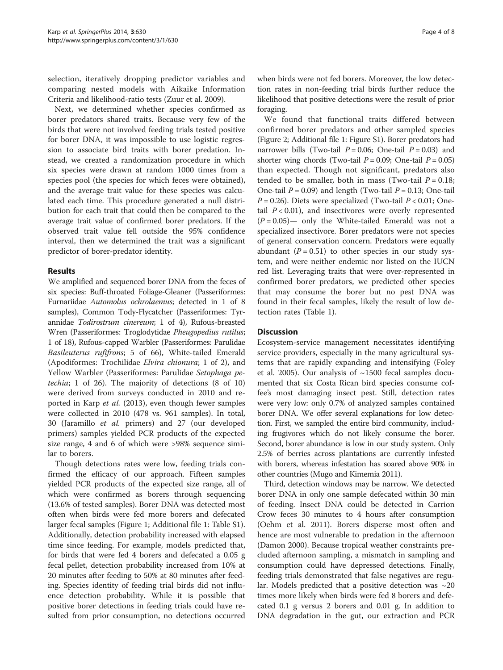selection, iteratively dropping predictor variables and comparing nested models with Aikaike Information Criteria and likelihood-ratio tests (Zuur et al. [2009](#page-7-0)).

Next, we determined whether species confirmed as borer predators shared traits. Because very few of the birds that were not involved feeding trials tested positive for borer DNA, it was impossible to use logistic regression to associate bird traits with borer predation. Instead, we created a randomization procedure in which six species were drawn at random 1000 times from a species pool (the species for which feces were obtained), and the average trait value for these species was calculated each time. This procedure generated a null distribution for each trait that could then be compared to the average trait value of confirmed borer predators. If the observed trait value fell outside the 95% confidence interval, then we determined the trait was a significant predictor of borer-predator identity.

# Results

We amplified and sequenced borer DNA from the feces of six species: Buff-throated Foliage-Gleaner (Passeriformes: Furnariidae Automolus ochrolaemus; detected in 1 of 8 samples), Common Tody-Flycatcher (Passeriformes: Tyrannidae Todirostrum cinereum; 1 of 4), Rufous-breasted Wren (Passeriformes: Troglodytidae Pheugopedius rutilus; 1 of 18), Rufous-capped Warbler (Passeriformes: Parulidae Basileuterus rufifrons; 5 of 66), White-tailed Emerald (Apodiformes: Trochilidae Elvira chionura; 1 of 2), and Yellow Warbler (Passeriformes: Parulidae Setophaga petechia; 1 of 26). The majority of detections (8 of 10) were derived from surveys conducted in 2010 and reported in Karp et al. [\(2013\)](#page-7-0), even though fewer samples were collected in 2010 (478 vs. 961 samples). In total, 30 (Jaramillo et al. primers) and 27 (our developed primers) samples yielded PCR products of the expected size range, 4 and 6 of which were >98% sequence similar to borers.

Though detections rates were low, feeding trials confirmed the efficacy of our approach. Fifteen samples yielded PCR products of the expected size range, all of which were confirmed as borers through sequencing (13.6% of tested samples). Borer DNA was detected most often when birds were fed more borers and defecated larger fecal samples (Figure [1](#page-4-0); Additional file [1:](#page-6-0) Table S1). Additionally, detection probability increased with elapsed time since feeding. For example, models predicted that, for birds that were fed 4 borers and defecated a 0.05 g fecal pellet, detection probability increased from 10% at 20 minutes after feeding to 50% at 80 minutes after feeding. Species identity of feeding trial birds did not influence detection probability. While it is possible that positive borer detections in feeding trials could have resulted from prior consumption, no detections occurred

when birds were not fed borers. Moreover, the low detection rates in non-feeding trial birds further reduce the likelihood that positive detections were the result of prior foraging.

We found that functional traits differed between confirmed borer predators and other sampled species (Figure [2](#page-4-0); Additional file [1:](#page-6-0) Figure S1). Borer predators had narrower bills (Two-tail  $P = 0.06$ ; One-tail  $P = 0.03$ ) and shorter wing chords (Two-tail  $P = 0.09$ ; One-tail  $P = 0.05$ ) than expected. Though not significant, predators also tended to be smaller, both in mass (Two-tail  $P = 0.18$ ; One-tail  $P = 0.09$ ) and length (Two-tail  $P = 0.13$ ; One-tail  $P = 0.26$ ). Diets were specialized (Two-tail  $P < 0.01$ ; Onetail  $P < 0.01$ ), and insectivores were overly represented  $(P = 0.05)$ — only the White-tailed Emerald was not a specialized insectivore. Borer predators were not species of general conservation concern. Predators were equally abundant  $(P = 0.51)$  to other species in our study system, and were neither endemic nor listed on the IUCN red list. Leveraging traits that were over-represented in confirmed borer predators, we predicted other species that may consume the borer but no pest DNA was found in their fecal samples, likely the result of low detection rates (Table [1](#page-5-0)).

#### **Discussion**

Ecosystem-service management necessitates identifying service providers, especially in the many agricultural systems that are rapidly expanding and intensifying (Foley et al. [2005\)](#page-6-0). Our analysis of  $\sim$ 1500 fecal samples documented that six Costa Rican bird species consume coffee's most damaging insect pest. Still, detection rates were very low: only 0.7% of analyzed samples contained borer DNA. We offer several explanations for low detection. First, we sampled the entire bird community, including frugivores which do not likely consume the borer. Second, borer abundance is low in our study system. Only 2.5% of berries across plantations are currently infested with borers, whereas infestation has soared above 90% in other countries (Mugo and Kimemia [2011](#page-7-0)).

Third, detection windows may be narrow. We detected borer DNA in only one sample defecated within 30 min of feeding. Insect DNA could be detected in Carrion Crow feces 30 minutes to 4 hours after consumption (Oehm et al. [2011\)](#page-7-0). Borers disperse most often and hence are most vulnerable to predation in the afternoon (Damon [2000\)](#page-6-0). Because tropical weather constraints precluded afternoon sampling, a mismatch in sampling and consumption could have depressed detections. Finally, feeding trials demonstrated that false negatives are regular. Models predicted that a positive detection was  $\sim$ 20 times more likely when birds were fed 8 borers and defecated 0.1 g versus 2 borers and 0.01 g. In addition to DNA degradation in the gut, our extraction and PCR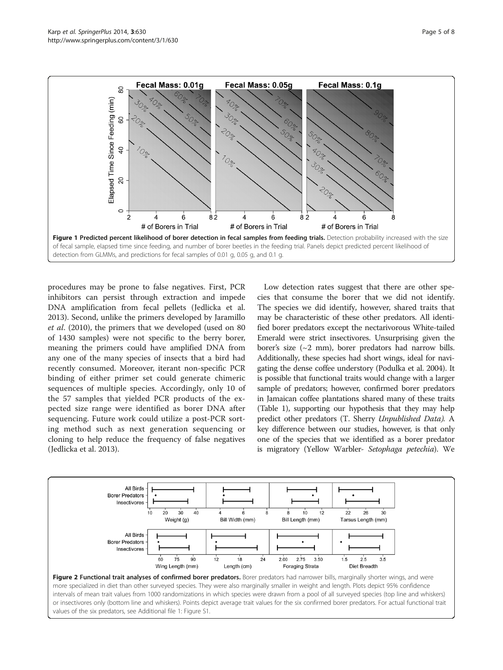<span id="page-4-0"></span>

procedures may be prone to false negatives. First, PCR inhibitors can persist through extraction and impede DNA amplification from fecal pellets (Jedlicka et al. [2013](#page-7-0)). Second, unlike the primers developed by Jaramillo et al. ([2010\)](#page-6-0), the primers that we developed (used on 80 of 1430 samples) were not specific to the berry borer, meaning the primers could have amplified DNA from any one of the many species of insects that a bird had recently consumed. Moreover, iterant non-specific PCR binding of either primer set could generate chimeric sequences of multiple species. Accordingly, only 10 of the 57 samples that yielded PCR products of the expected size range were identified as borer DNA after sequencing. Future work could utilize a post-PCR sorting method such as next generation sequencing or cloning to help reduce the frequency of false negatives (Jedlicka et al. [2013\)](#page-7-0).

Low detection rates suggest that there are other species that consume the borer that we did not identify. The species we did identify, however, shared traits that may be characteristic of these other predators. All identified borer predators except the nectarivorous White-tailed Emerald were strict insectivores. Unsurprising given the borer's size  $({\sim}2$  mm), borer predators had narrow bills. Additionally, these species had short wings, ideal for navigating the dense coffee understory (Podulka et al. [2004](#page-7-0)). It is possible that functional traits would change with a larger sample of predators; however, confirmed borer predators in Jamaican coffee plantations shared many of these traits (Table [1](#page-5-0)), supporting our hypothesis that they may help predict other predators (T. Sherry Unpublished Data). A key difference between our studies, however, is that only one of the species that we identified as a borer predator is migratory (Yellow Warbler- Setophaga petechia). We

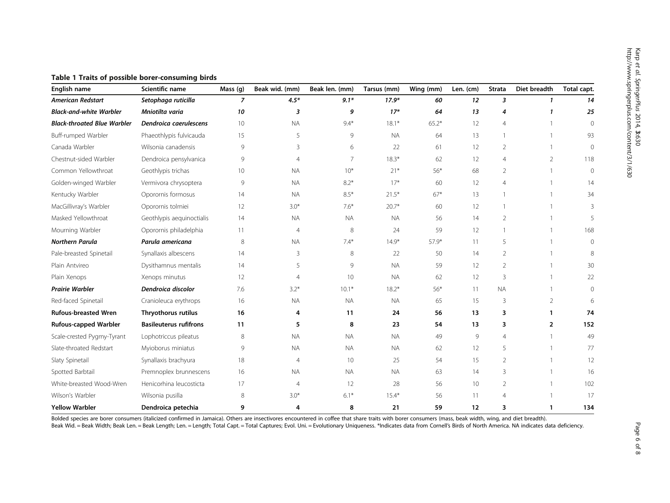| English name                       | Scientific name               | Mass (g)        | Beak wid. (mm) | Beak len. (mm) | Tarsus (mm) | Wing (mm) | Len. (cm) | <b>Strata</b>  | Diet breadth   | Total capt. |
|------------------------------------|-------------------------------|-----------------|----------------|----------------|-------------|-----------|-----------|----------------|----------------|-------------|
| <b>American Redstart</b>           | Setophaga ruticilla           | 7               | $4.5*$         | $9.1*$         | $17.9*$     | 60        | 12        | 3              | 1              | 14          |
| <b>Black-and-white Warbler</b>     | Mniotilta varia               | 10              | 3              | 9              | $17*$       | 64        | 13        | 4              | 1              | 25          |
| <b>Black-throated Blue Warbler</b> | Dendroica caerulescens        | 10              | <b>NA</b>      | $9.4*$         | $18.1*$     | $65.2*$   | 12        | $\overline{4}$ | $\mathbf{1}$   | $\Omega$    |
| Buff-rumped Warbler                | Phaeothlypis fulvicauda       | 15              | 5              | 9              | <b>NA</b>   | 64        | 13        | 1              | $\mathbf{1}$   | 93          |
| Canada Warbler                     | Wilsonia canadensis           | 9               | 3              | 6              | 22          | 61        | 12        | $\overline{2}$ |                | $\Omega$    |
| Chestnut-sided Warbler             | Dendroica pensylvanica        | 9               | 4              | $\overline{7}$ | $18.3*$     | 62        | 12        | $\overline{4}$ | $\overline{2}$ | 118         |
| Common Yellowthroat                | Geothlypis trichas            | 10 <sup>°</sup> | <b>NA</b>      | $10*$          | $21*$       | $56*$     | 68        | 2              | $\mathbf{1}$   | $\Omega$    |
| Golden-winged Warbler              | Vermivora chrysoptera         | 9               | <b>NA</b>      | $8.2*$         | $17*$       | 60        | 12        | $\overline{4}$ |                | 14          |
| Kentucky Warbler                   | Oporornis formosus            | 14              | <b>NA</b>      | $8.5*$         | $21.5*$     | $67*$     | 13        | $\mathbf{1}$   | $\mathbf{1}$   | 34          |
| MacGillivray's Warbler             | Oporornis tolmiei             | 12              | $3.0*$         | $7.6*$         | $20.7*$     | 60        | 12        |                |                | 3           |
| Masked Yellowthroat                | Geothlypis aequinoctialis     | 14              | <b>NA</b>      | <b>NA</b>      | <b>NA</b>   | 56        | 14        | $\overline{2}$ |                | 5           |
| Mourning Warbler                   | Oporornis philadelphia        | 11              | $\overline{4}$ | 8              | 24          | 59        | 12        | $\mathbf{1}$   | $\mathbf{1}$   | 168         |
| <b>Northern Parula</b>             | Parula americana              | 8               | <b>NA</b>      | $7.4*$         | $14.9*$     | 57.9*     | 11        | 5              |                | $\Omega$    |
| Pale-breasted Spinetail            | Synallaxis albescens          | 14              | 3              | 8              | 22          | 50        | 14        | $\overline{2}$ |                | 8           |
| Plain Antvireo                     | Dysithamnus mentalis          | 14              | 5              | 9              | <b>NA</b>   | 59        | 12        | $\overline{2}$ | $\mathbf{1}$   | 30          |
| Plain Xenops                       | Xenops minutus                | 12              | $\overline{4}$ | 10             | <b>NA</b>   | 62        | 12        | 3              | 1              | 22          |
| <b>Prairie Warbler</b>             | Dendroica discolor            | 7.6             | $3.2*$         | $10.1*$        | $18.2*$     | $56*$     | 11        | <b>NA</b>      |                | $\Omega$    |
| Red-faced Spinetail                | Cranioleuca erythrops         | 16              | <b>NA</b>      | <b>NA</b>      | <b>NA</b>   | 65        | 15        | 3              | $\overline{2}$ | 6           |
| <b>Rufous-breasted Wren</b>        | Thryothorus rutilus           | 16              | 4              | 11             | 24          | 56        | 13        | 3              | 1              | 74          |
| <b>Rufous-capped Warbler</b>       | <b>Basileuterus rufifrons</b> | 11              | 5              | 8              | 23          | 54        | 13        | 3              | $\overline{2}$ | 152         |
| Scale-crested Pygmy-Tyrant         | Lophotriccus pileatus         | 8               | <b>NA</b>      | <b>NA</b>      | <b>NA</b>   | 49        | 9         | $\overline{4}$ | 1              | 49          |
| Slate-throated Redstart            | Myioborus miniatus            | 9               | <b>NA</b>      | <b>NA</b>      | <b>NA</b>   | 62        | 12        | 5              | $\mathbf{1}$   | 77          |
| Slaty Spinetail                    | Synallaxis brachyura          | 18              | $\overline{4}$ | 10             | 25          | 54        | 15        | $\overline{2}$ | $\mathbf{1}$   | 12          |
| Spotted Barbtail                   | Premnoplex brunnescens        | 16              | <b>NA</b>      | <b>NA</b>      | <b>NA</b>   | 63        | 14        | 3              | $\mathbf{1}$   | 16          |
| White-breasted Wood-Wren           | Henicorhina leucosticta       | 17              | $\overline{4}$ | 12             | 28          | 56        | 10        | $\overline{2}$ | $\mathbf{1}$   | 102         |
| Wilson's Warbler                   | Wilsonia pusilla              | 8               | $3.0*$         | $6.1*$         | $15.4*$     | 56        | 11        | $\overline{4}$ |                | 17          |
| <b>Yellow Warbler</b>              | Dendroica petechia            | 9               | 4              | 8              | 21          | 59        | 12        | 3              | 1              | 134         |

<span id="page-5-0"></span>Table 1 Traits of possible borer-consuming birds

Bolded species are borer consumers (italicized confirmed in Jamaica). Others are insectivores encountered in coffee that share traits with borer consumers (mass, beak width, wing, and diet breadth).

Beak Wid. = Beak Width; Beak Len. = Beak Length; Len. = Length; Total Capt. = Total Captures; Evol. Uni. = Evolutionary Uniqueness. \*Indicates data from Cornell's Birds of North America. NA indicates data deficiency.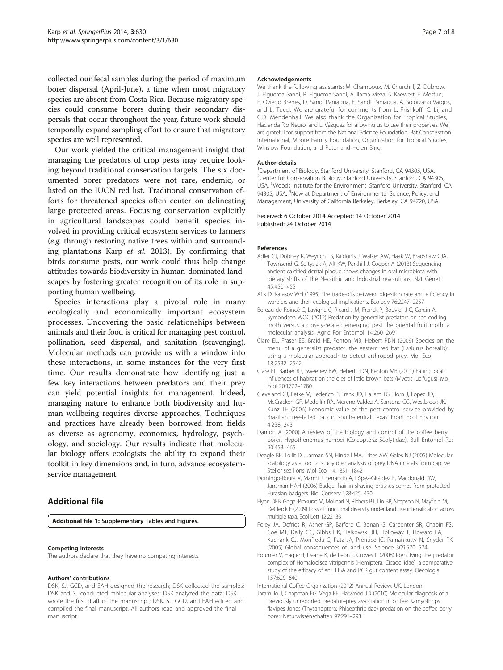<span id="page-6-0"></span>collected our fecal samples during the period of maximum borer dispersal (April-June), a time when most migratory species are absent from Costa Rica. Because migratory species could consume borers during their secondary dispersals that occur throughout the year, future work should temporally expand sampling effort to ensure that migratory species are well represented.

Our work yielded the critical management insight that managing the predators of crop pests may require looking beyond traditional conservation targets. The six documented borer predators were not rare, endemic, or listed on the IUCN red list. Traditional conservation efforts for threatened species often center on delineating large protected areas. Focusing conservation explicitly in agricultural landscapes could benefit species involved in providing critical ecosystem services to farmers (e.g. through restoring native trees within and surrounding plantations Karp et al. [2013](#page-7-0)). By confirming that birds consume pests, our work could thus help change attitudes towards biodiversity in human-dominated landscapes by fostering greater recognition of its role in supporting human wellbeing.

Species interactions play a pivotal role in many ecologically and economically important ecosystem processes. Uncovering the basic relationships between animals and their food is critical for managing pest control, pollination, seed dispersal, and sanitation (scavenging). Molecular methods can provide us with a window into these interactions, in some instances for the very first time. Our results demonstrate how identifying just a few key interactions between predators and their prey can yield potential insights for management. Indeed, managing nature to enhance both biodiversity and human wellbeing requires diverse approaches. Techniques and practices have already been borrowed from fields as diverse as agronomy, economics, hydrology, psychology, and sociology. Our results indicate that molecular biology offers ecologists the ability to expand their toolkit in key dimensions and, in turn, advance ecosystemservice management.

# Additional file

[Additional file 1:](http://www.biomedcentral.com/content/supplementary/2193-1801-3-630-S1.docx) Supplementary Tables and Figures.

#### Competing interests

The authors declare that they have no competing interests.

#### Authors' contributions

DSK, SJ, GCD, and EAH designed the research; DSK collected the samples; DSK and SJ conducted molecular analyses; DSK analyzed the data; DSK wrote the first draft of the manuscript; DSK, SJ, GCD, and EAH edited and compiled the final manuscript. All authors read and approved the final manuscript.

#### Acknowledgements

We thank the following assistants: M. Champoux, M. Churchill, Z. Dubrow, J. Figueroa Sandí, R. Figueroa Sandí, A. Ilama Meza, S. Kaewert, E. Mesfun, F. Oviedo Brenes, D. Sandí Paniagua, E. Sandí Paniagua, A. Solórzano Vargos, and L. Tucci. We are grateful for comments from L. Frishkoff, C. Li, and C.D. Mendenhall. We also thank the Organization for Tropical Studies, Hacienda Rio Negro, and L. Vázquez for allowing us to use their properties. We are grateful for support from the National Science Foundation, Bat Conservation International, Moore Family Foundation, Organization for Tropical Studies, Winslow Foundation, and Peter and Helen Bing.

#### Author details

<sup>1</sup>Department of Biology, Stanford University, Stanford, CA 94305, USA. <sup>2</sup>Center for Conservation Biology, Stanford University, Stanford, CA 94305, USA. <sup>3</sup>Woods Institute for the Environment, Stanford University, Stanford, CA 94305, USA. <sup>4</sup>Now at Department of Environmental Science, Policy, and Management, University of California Berkeley, Berkeley, CA 94720, USA.

#### Received: 6 October 2014 Accepted: 14 October 2014 Published: 24 October 2014

#### References

- Adler CJ, Dobney K, Weyrich LS, Kaidonis J, Walker AW, Haak W, Bradshaw CJA, Townsend G, Soltysiak A, Alt KW, Parkhill J, Cooper A (2013) Sequencing ancient calcified dental plaque shows changes in oral microbiota with dietary shifts of the Neolithic and Industrial revolutions. Nat Genet 45:450–455
- Afik D, Karasov WH (1995) The trade-offs between digestion rate and efficiency in warblers and their ecological implications. Ecology 76:2247–2257
- Boreau de Roincé C, Lavigne C, Ricard J-M, Franck P, Bouvier J-C, Garcin A, Symondson WOC (2012) Predation by generalist predators on the codling moth versus a closely-related emerging pest the oriental fruit moth: a molecular analysis. Agric For Entomol 14:260–269
- Clare EL, Fraser EE, Braid HE, Fenton MB, Hebert PDN (2009) Species on the menu of a generalist predator, the eastern red bat (Lasiurus borealis): using a molecular approach to detect arthropod prey. Mol Ecol 18:2532–2542
- Clare EL, Barber BR, Sweeney BW, Hebert PDN, Fenton MB (2011) Eating local: influences of habitat on the diet of little brown bats (Myotis lucifugus). Mol Ecol 20:1772–1780
- Cleveland CJ, Betke M, Federico P, Frank JD, Hallam TG, Horn J, Lopez JD, McCracken GF, Medellín RA, Moreno-Valdez A, Sansone CG, Westbrook JK, Kunz TH (2006) Economic value of the pest control service provided by Brazilian free-tailed bats in south-central Texas. Front Ecol Environ 4:238–243
- Damon A (2000) A review of the biology and control of the coffee berry borer, Hypothenemus hampei (Coleoptera: Scolytidae). Bull Entomol Res 90:453–465
- Deagle BE, Tollit DJ, Jarman SN, Hindell MA, Trites AW, Gales NJ (2005) Molecular scatology as a tool to study diet: analysis of prey DNA in scats from captive Steller sea lions. Mol Ecol 14:1831–1842
- Domingo-Roura X, Marmi J, Ferrando A, López-Giráldez F, Macdonald DW, Jansman HAH (2006) Badger hair in shaving brushes comes from protected Eurasian badgers. Biol Conserv 128:425–430
- Flynn DFB, Gogal-Prokurat M, Molinari N, Richers BT, Lin BB, Simpson N, Mayfield M, DeClerck F (2009) Loss of functional diversity under land use intensification across multiple taxa. Ecol Lett 12:22–33
- Foley JA, Defries R, Asner GP, Barford C, Bonan G, Carpenter SR, Chapin FS, Coe MT, Daily GC, Gibbs HK, Helkowski JH, Holloway T, Howard EA, Kucharik CJ, Monfreda C, Patz JA, Prentice IC, Ramankutty N, Snyder PK (2005) Global consequences of land use. Science 309:570–574
- Fournier V, Hagler J, Daane K, de León J, Groves R (2008) Identifying the predator complex of Homalodisca vitripennis (Hemiptera: Cicadellidae): a comparative study of the efficacy of an ELISA and PCR gut content assay. Oecologia 157:629–640

International Coffee Organization (2012) Annual Review. UK, London

Jaramillo J, Chapman EG, Vega FE, Harwood JD (2010) Molecular diagnosis of a previously unreported predator–prey association in coffee: Karnyothrips flavipes Jones (Thysanoptera: Phlaeothripidae) predation on the coffee berry borer. Naturwissenschaften 97:291–298